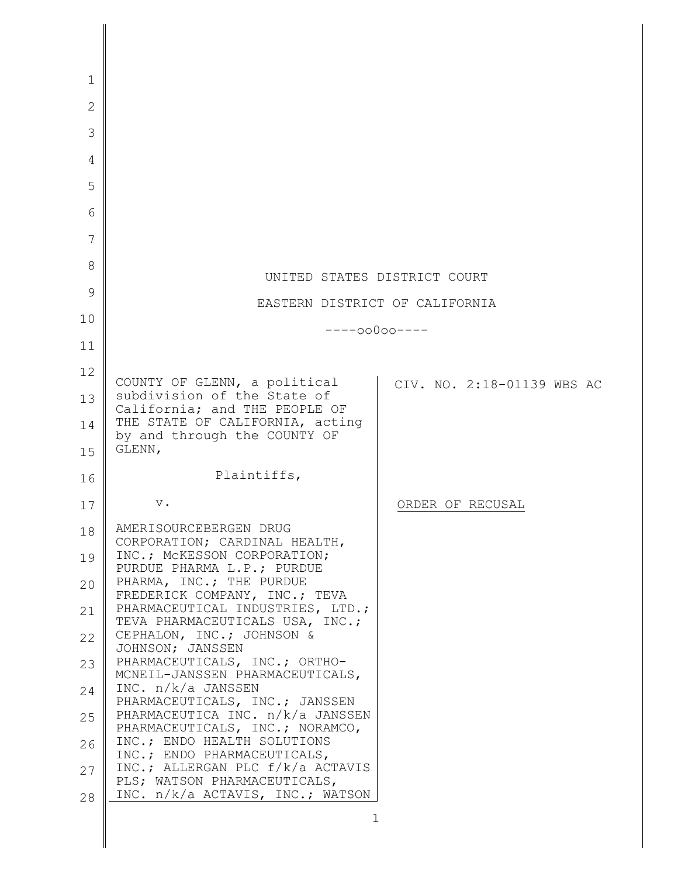| $\mathbf{1}$   |                                                                    |                            |
|----------------|--------------------------------------------------------------------|----------------------------|
| $\overline{2}$ |                                                                    |                            |
| 3              |                                                                    |                            |
| 4              |                                                                    |                            |
| 5              |                                                                    |                            |
| 6              |                                                                    |                            |
| 7              |                                                                    |                            |
| 8              | UNITED STATES DISTRICT COURT                                       |                            |
| 9              | EASTERN DISTRICT OF CALIFORNIA                                     |                            |
| 10             | $---00000---$                                                      |                            |
| 11             |                                                                    |                            |
| 12             | COUNTY OF GLENN, a political                                       |                            |
| 13             | subdivision of the State of<br>California; and THE PEOPLE OF       | CIV. NO. 2:18-01139 WBS AC |
| 14             | THE STATE OF CALIFORNIA, acting                                    |                            |
| 15             | by and through the COUNTY OF<br>GLENN,                             |                            |
| 16             | Plaintiffs,                                                        |                            |
| 17             | $\mathbf v$ .                                                      | ORDER OF RECUSAL           |
| 18             | AMERISOURCEBERGEN DRUG                                             |                            |
| 19             | CORPORATION; CARDINAL HEALTH,<br>INC.; MCKESSON CORPORATION;       |                            |
| 20             | PURDUE PHARMA L.P.; PURDUE<br>PHARMA, INC.; THE PURDUE             |                            |
| 21             | FREDERICK COMPANY, INC.; TEVA<br>PHARMACEUTICAL INDUSTRIES, LTD.;  |                            |
| 22             | TEVA PHARMACEUTICALS USA, INC.;<br>CEPHALON, INC.; JOHNSON &       |                            |
| 23             | JOHNSON; JANSSEN<br>PHARMACEUTICALS, INC.; ORTHO-                  |                            |
| 24             | MCNEIL-JANSSEN PHARMACEUTICALS,<br>INC. n/k/a JANSSEN              |                            |
| 25             | PHARMACEUTICALS, INC.; JANSSEN<br>PHARMACEUTICA INC. n/k/a JANSSEN |                            |
| 26             | PHARMACEUTICALS, INC.; NORAMCO,<br>INC.; ENDO HEALTH SOLUTIONS     |                            |
| 27             | INC.; ENDO PHARMACEUTICALS,<br>INC.; ALLERGAN PLC f/k/a ACTAVIS    |                            |
| 28             | PLS; WATSON PHARMACEUTICALS,<br>INC. n/k/a ACTAVIS, INC.; WATSON   |                            |
|                | 1                                                                  |                            |
|                |                                                                    |                            |